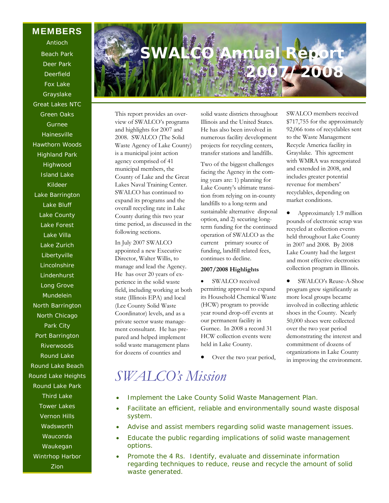**MEMBERS** 

Antioch Beach Park Deer Park Deerfield Fox Lake Grayslake Great Lakes NTC Green Oaks Gurnee Hainesville Hawthorn Woods Highland Park Highwood Island Lake Kildeer Lake Barrington Lake Bluff Lake County Lake Forest Lake Villa Lake Zurich Libertyville Lincolnshire Lindenhurst Long Grove Mundelein North Barrington North Chicago Park City Port Barrington Riverwoods Round Lake Round Lake Beach Round Lake Heights Round Lake Park Third Lake Tower Lakes Vernon Hills **Wadsworth** Wauconda Waukegan Wintrhop Harbor Zion

# **SWALCO Annual Report 2007/2008**

This report provides an overview of SWALCO's programs and highlights for 2007 and 2008. SWALCO (The Solid Waste Agency of Lake County) is a municipal joint action agency comprised of 41 municipal members, the County of Lake and the Great Lakes Naval Training Center. SWALCO has continued to expand its programs and the overall recycling rate in Lake County during this two year time period, as discussed in the following sections.

In July 2007 SWALCO appointed a new Executive Director, Walter Willis, to manage and lead the Agency. He has over 20 years of experience in the solid waste field, including working at both state (Illinois EPA) and local (Lee County Solid Waste Coordinator) levels, and as a private sector waste management consultant. He has prepared and helped implement solid waste management plans for dozens of counties and

solid waste districts throughout Illinois and the United States. He has also been involved in numerous facility development projects for recycling centers, transfer stations and landfills.

Two of the biggest challenges facing the Agency in the coming years are: 1) planning for Lake County's ultimate transition from relying on in-county landfills to a long-term and sustainable alternative disposal option, and 2) securing longterm funding for the continued operation of SWALCO as the current primary source of funding, landfill related fees, continues to decline.

#### **2007/2008 Highlights**

SWALCO received permitting approval to expand its Household Chemical Waste (HCW) program to provide year round drop-off events at our permanent facility in Gurnee. In 2008 a record 31 HCW collection events were held in Lake County.

Over the two year period,

SWALCO members received \$717,755 for the approximately 92,066 tons of recyclables sent to the Waste Management Recycle America facility in Grayslake. This agreement with WMRA was renegotiated and extended in 2008, and includes greater potential revenue for members' recyclables, depending on market conditions.

• Approximately 1.9 million pounds of electronic scrap was recycled at collection events held throughout Lake County in 2007 and 2008. By 2008 Lake County had the largest and most effective electronics collection program in Illinois.

• SWALCO's Reuse-A-Shoe program grew significantly as more local groups became involved in collecting athletic shoes in the County. Nearly 50,000 shoes were collected over the two year period demonstrating the interest and commitment of dozens of organizations in Lake County in improving the environment.

- *SWALCO's Mission*
- Implement the Lake County Solid Waste Management Plan.
- Facilitate an efficient, reliable and environmentally sound waste disposal system.
- Advise and assist members regarding solid waste management issues.
- Educate the public regarding implications of solid waste management options.
- Promote the 4 Rs. Identify, evaluate and disseminate information regarding techniques to reduce, reuse and recycle the amount of solid waste generated.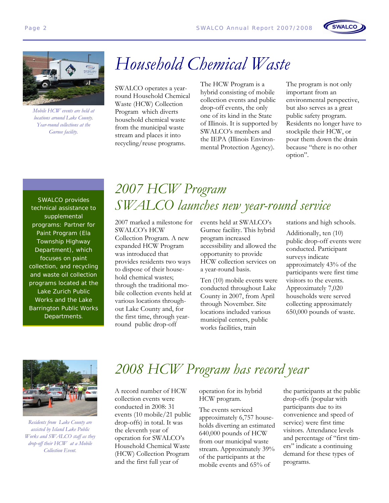





*Mobile HCW events are held at locations around Lake County. Year-round collections at the Gurnee facility.* 

# *Household Chemical Waste*

SWALCO operates a yearround Household Chemical Waste (HCW) Collection Program which diverts household chemical waste from the municipal waste stream and places it into recycling/reuse programs.

The HCW Program is a hybrid consisting of mobile collection events and public drop-off events, the only one of its kind in the State of Illinois. It is supported by SWALCO's members and the IEPA (Illinois Environmental Protection Agency).

The program is not only important from an environmental perspective, but also serves as a great public safety program. Residents no longer have to stockpile their HCW, or pour them down the drain because "there is no other option".

SWALCO provides technical assistance to supplemental programs: Partner for Paint Program (Ela Township Highway Department), which focuses on paint collection, and recycling and waste oil collection programs located at the Lake Zurich Public Works and the Lake Barrington Public Works Departments.

### *2007 HCW Program SWALCO launches new year-round service*

2007 marked a milestone for SWALCO's HCW Collection Program. A new expanded HCW Program was introduced that provides residents two ways to dispose of their household chemical wastes; through the traditional mobile collection events held at various locations throughout Lake County and, for the first time, through yearround public drop-off

events held at SWALCO's Gurnee facility. This hybrid program increased accessibility and allowed the opportunity to provide HCW collection services on a year-round basis.

Ten (10) mobile events were conducted throughout Lake County in 2007, from April through November. Site locations included various municipal centers, public works facilities, train

stations and high schools.

Additionally, ten (10) public drop-off events were conducted. Participant surveys indicate approximately 43% of the participants were first time visitors to the events. Approximately 7,020 households were served collecting approximately 650,000 pounds of waste.



*Residents from Lake County are assisted by Island Lake Public Works and SWALCO staff as they drop-off their HCW at a Mobile Collection Event.* 

## *2008 HCW Program has record year*

A record number of HCW collection events were conducted in 2008: 31 events (10 mobile/21 public drop-offs) in total. It was the eleventh year of operation for SWALCO's Household Chemical Waste (HCW) Collection Program and the first full year of

operation for its hybrid HCW program.

The events serviced approximately 6,757 households diverting an estimated 640,000 pounds of HCW from our municipal waste stream. Approximately 39% of the participants at the mobile events and 65% of

the participants at the public drop-offs (popular with participants due to its convenience and speed of service) were first time visitors. Attendance levels and percentage of "first timers" indicate a continuing demand for these types of programs.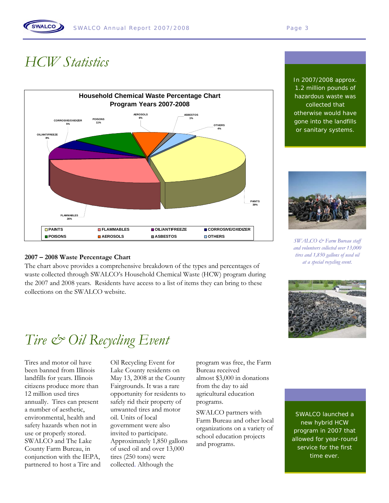## *HCW Statistics*

**SWALCO** 



#### **2007 – 2008 Waste Percentage Chart**

The chart above provides a comprehensive breakdown of the types and percentages of waste collected through SWALCO's Household Chemical Waste (HCW) program during the 2007 and 2008 years. Residents have access to a list of items they can bring to these collections on the SWALCO website.

In 2007/2008 approx. 1.2 million pounds of hazardous waste was collected that otherwise would have gone into the landfills or sanitary systems.



*SWALCO & Farm Bureau staff and volunteers collected over 13,000 tires and 1,850 gallons of used oil at a special recycling event.* 



# *Tire & Oil Recycling Event*

Tires and motor oil have been banned from Illinois landfills for years. Illinois citizens produce more than 12 million used tires annually. Tires can present a number of aesthetic, environmental, health and safety hazards when not in use or properly stored. SWALCO and The Lake County Farm Bureau, in conjunction with the IEPA, partnered to host a Tire and Oil Recycling Event for Lake County residents on May 13, 2008 at the County Fairgrounds. It was a rare opportunity for residents to safely rid their property of unwanted tires and motor oil. Units of local government were also invited to participate. Approximately 1,850 gallons of used oil and over 13,000 tires (250 tons) were collected. Although the

program was free, the Farm Bureau received almost \$3,000 in donations from the day to aid agricultural education programs.

SWALCO partners with Farm Bureau and other local organizations on a variety of school education projects and programs.

SWALCO launched a new hybrid HCW program in 2007 that allowed for year-round service for the first time ever.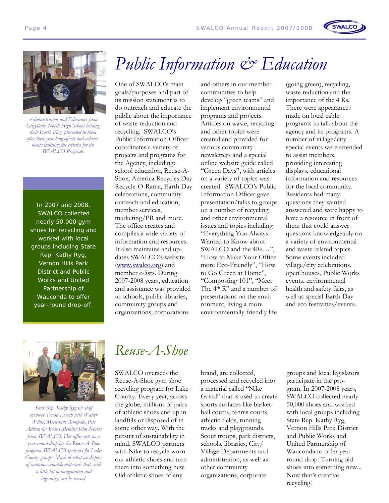



*Administration and Educators from Grayslake North High School holding their Earth Flag, presented to them after their year-long efforts and achievements fulfilling the criteria for the SWALCO Program.* 

In 2007 and 2008, SWALCO collected nearly 50,000 gym shoes for recycling and worked with local groups including State Rep. Kathy Ryg, Vernon Hills Park District and Public Works and United Partnership of Wauconda to offer year-round drop-off.

# *Public Information & Education*

One of SWALCO's main goals/purposes and part of its mission statement is to do outreach and educate the public about the importance of waste reduction and recycling. SWALCO's Public Information Officer coordinates a variety of projects and programs for the Agency, including: school education, Reuse-A-Shoe, America Recycles Day Recycle-O-Rama, Earth Day celebrations, community outreach and education, member services, marketing/PR and more. The office creates and compiles a wide variety of information and resources. It also maintains and updates SWALCO's website (www.swalco.org) and member e-lists. During 2007-2008 years, education and assistance was provided to schools, public libraries, community groups and organizations, corporations

and others in our member communities to help develop "green teams" and implement environmental programs and projects. Articles on waste, recycling and other topics were created and provided for various community newsletters and a special online website guide called "Green Days", with articles on a variety of topics was created. SWALCO's Public Information Officer gave presentation/talks to groups on a number of recycling and other environmental issues and topics including "Everything You Always Wanted to Know about SWALCO and the 4Rs…", "How to Make Your Office more Eco-Friendly", "How to Go Green at Home", "Composting 101", "Meet The 4<sup>th</sup> R" and a number of presentations on the environment, living a more environmentally friendly life

(going green), recycling, waste reduction and the importance of the 4 Rs. There were appearances made on local cable programs to talk about the agency and its programs. A number of village/city special events were attended to assist members, providing interesting displays, educational information and resources for the local community. Residents had many questions they wanted answered and were happy to have a resource in front of them that could answer questions knowledgeably on a variety of environmental and waste related topics. Some events included village/city celebrations, open houses, Public Works events, environmental health and safety fairs, as well as special Earth Day and eco festivities/events.



*State Rep. Kathy Ryg & staff member Teresa Loerch with Walter Willis, Merleanne Rampale, Pete Adrian & Board Member John Norris from SWALCO. Her office acts as a year-round drop for the Reuse-A-Shoe program SWALCO sponsors for Lake County groups. Much of what we dispose of contains valuable materials that, with a little bit of imagination and ingenuity, can be reused.* 

#### *Reuse-A-Shoe*

SWALCO oversees the Reuse-A-Shoe gym shoe recycling program for Lake County. Every year, across the globe, millions of pairs of athletic shoes end up in landfills or disposed of in some other way. With the pursuit of sustainability in mind, SWALCO partners with Nike to recycle worn out athletic shoes and turn them into something new. Old athletic shoes of any

brand, are collected, processed and recycled into a material called "Nike Grind" that is used to create sports surfaces like basketball courts, tennis courts, athletic fields, running tracks and playgrounds. Scout troops, park districts, schools, libraries, City/ Village Departments and administration, as well as other community organizations, corporate

groups and local legislators participate in the program. In 2007-2008 years, SWALCO collected nearly 50,000 shoes and worked with local groups including State Rep. Kathy Ryg, Vernon Hills Park District and Public Works and United Partnership of Wauconda to offer yearround drop. Turning old shoes into something new... Now that's creative recycling!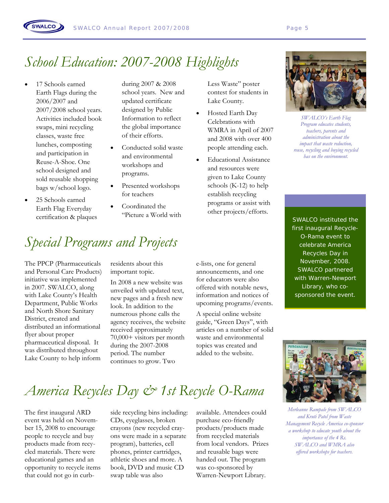# *School Education: 2007-2008 Highlights*

17 Schools earned Earth Flags during the 2006/2007 and 2007/2008 school years. Activities included book swaps, mini recycling classes, waste free lunches, composting and participation in Reuse-A-Shoe. One school designed and sold reusable shopping bags w/school logo.

**SWALCO** 

• 25 Schools earned Earth Flag Everyday certification & plaques

during 2007 & 2008 school years. New and updated certificate designed by Public Information to reflect the global importance of their efforts.

- Conducted solid waste and environmental workshops and programs.
- Presented workshops for teachers
- Coordinated the "Picture a World with

# *Special Programs and Projects*

The PPCP (Pharmaceuticals and Personal Care Products) initiative was implemented in 2007. SWALCO, along with Lake County's Health Department, Public Works and North Shore Sanitary District, created and distributed an informational flyer about proper pharmaceutical disposal. It was distributed throughout Lake County to help inform

residents about this important topic.

In 2008 a new website was unveiled with updated text, new pages and a fresh new look. In addition to the numerous phone calls the agency receives, the website received approximately 70,000+ visitors per month during the 2007-2008 period. The number continues to grow. Two

e-lists, one for general announcements, and one for educators were also offered with notable news, information and notices of upcoming programs/events.

Less Waste" poster contest for students in

• Hosted Earth Day Celebrations with WMRA in April of 2007 and 2008 with over 400 people attending each. • Educational Assistance and resources were given to Lake County schools (K-12) to help establish recycling programs or assist with other projects/efforts.

Lake County.

A special online website guide, "Green Days", with articles on a number of solid waste and environmental topics was created and added to the website.



*SWALCO's Earth Flag Program educates students, teachers, parents and administration about the impact that waste reduction, reuse, recycling and buying recycled has on the environment.*

SWALCO instituted the first inaugural Recycle-O-Rama event to celebrate America Recycles Day in November, 2008. SWALCO partnered with Warren-Newport Library, who cosponsored the event.



*Merleanne Rampale from SWALCO and Kruti Patel from Waste Management Recycle America co-sponsor a workshop to educate youth about the importance of the 4 Rs. SWALCO and WMRA also offered workshops for teachers.* 

# *America Recycles Day & 1st Recycle O-Rama*

The first inaugural ARD event was held on November 15, 2008 to encourage people to recycle and buy products made from recycled materials. There were educational games and an opportunity to recycle items that could not go in curbside recycling bins including: CDs, eyeglasses, broken crayons (new recycled crayons were made in a separate program), batteries, cell phones, printer cartridges, athletic shoes and more. A book, DVD and music CD swap table was also

available. Attendees could purchase eco-friendly products/products made from recycled materials from local vendors. Prizes and reusable bags were handed out. The program was co-sponsored by Warren-Newport Library.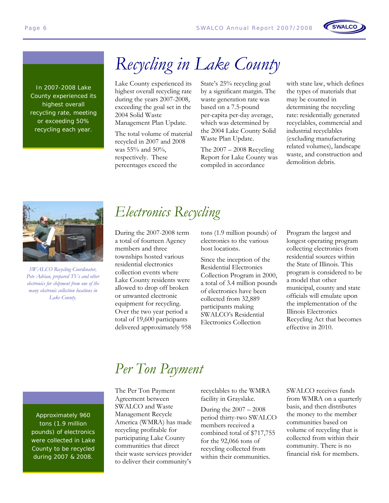

In 2007-2008 Lake County experienced its highest overall recycling rate, meeting or exceeding 50% recycling each year.

# *Recycling in Lake County*

Lake County experienced its highest overall recycling rate during the years 2007-2008, exceeding the goal set in the 2004 Solid Waste Management Plan Update.

The total volume of material recycled in 2007 and 2008 was 55% and 50%, respectively. These percentages exceed the

State's 25% recycling goal by a significant margin. The waste generation rate was based on a 7.5-pound per-capita per-day average, which was determined by the 2004 Lake County Solid Waste Plan Update.

The 2007 – 2008 Recycling Report for Lake County was compiled in accordance

with state law, which defines the types of materials that may be counted in determining the recycling rate: residentially generated recyclables, commercial and industrial recyclables (excluding manufacturing related volumes), landscape waste, and construction and demolition debris.

**SWALCO** 



*SWALCO Recycling Coordinator, Pete Adrian, prepared TVs and other electronics for shipment from one of the many electronic collection locations in Lake County.* 

### *Electronics Recycling*

During the 2007-2008 term a total of fourteen Agency members and three townships hosted various residential electronics collection events where Lake County residents were allowed to drop off broken or unwanted electronic equipment for recycling. Over the two year period a total of 19,600 participants delivered approximately 958 tons (1.9 million pounds) of electronics to the various host locations.

Since the inception of the Residential Electronics Collection Program in 2000, a total of 3.4 million pounds of electronics have been collected from 32,889 participants making SWALCO's Residential Electronics Collection

Program the largest and longest operating program collecting electronics from residential sources within the State of Illinois. This program is considered to be a model that other municipal, county and state officials will emulate upon the implementation of the Illinois Electronics Recycling Act that becomes effective in 2010.

Approximately 960 tons (1.9 million pounds) of electronics were collected in Lake County to be recycled during 2007 & 2008.

### *Per Ton Payment*

The Per Ton Payment Agreement between SWALCO and Waste Management Recycle America (WMRA) has made recycling profitable for participating Lake County communities that direct their waste services provider to deliver their community's

recyclables to the WMRA facility in Grayslake.

During the 2007 – 2008 period thirty-two SWALCO members received a combined total of \$717,755 for the 92,066 tons of recycling collected from within their communities.

SWALCO receives funds from WMRA on a quarterly basis, and then distributes the money to the member communities based on volume of recycling that is collected from within their community. There is no financial risk for members.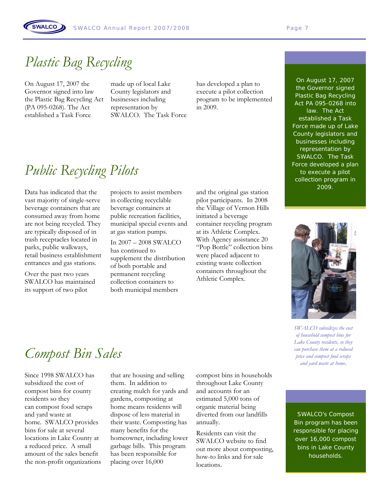## *Plastic Bag Recycling*

On August 17, 2007 the Governor signed into law the Plastic Bag Recycling Act (PA 095-0268). The Act established a Task Force

SWALCO

made up of local Lake County legislators and businesses including representation by SWALCO. The Task Force

has developed a plan to execute a pilot collection program to be implemented in 2009.

# *Public Recycling Pilots*

Data has indicated that the vast majority of single-serve beverage containers that are consumed away from home are not being recycled. They are typically disposed of in trash receptacles located in parks, public walkways, retail business establishment entrances and gas stations.

Over the past two years SWALCO has maintained its support of two pilot

projects to assist members in collecting recyclable beverage containers at public recreation facilities, municipal special events and at gas station pumps.

In 2007 – 2008 SWALCO has continued to supplement the distribution of both portable and permanent recycling collection containers to both municipal members

and the original gas station pilot participants. In 2008 the Village of Vernon Hills initiated a beverage container recycling program at its Athletic Complex. With Agency assistance 20 "Pop Bottle" collection bins were placed adjacent to existing waste collection containers throughout the Athletic Complex.

On August 17, 2007 the Governor signed Plastic Bag Recycling Act PA 095-0268 into law. The Act established a Task Force made up of Lake County legislators and businesses including representation by SWALCO. The Task Force developed a plan to execute a pilot collection program in 2009.



*SWALCO subsidizes the cost of household compost bins for Lake County residents, so they can purchase them at a reduced price and compost food scraps and yard waste at home***.** 

### *Compost Bin Sales*

Since 1998 SWALCO has subsidized the cost of compost bins for county residents so they can compost food scraps and yard waste at home. SWALCO provides bins for sale at several locations in Lake County at a reduced price. A small amount of the sales benefit the non-profit organizations

that are housing and selling them. In addition to creating mulch for yards and gardens, composting at home means residents will dispose of less material in their waste. Composting has many benefits for the homeowner, including lower garbage bills. This program has been responsible for placing over 16,000

compost bins in households throughout Lake County and accounts for an estimated 5,000 tons of organic material being diverted from our landfills annually.

Residents can visit the SWALCO website to find out more about composting, how-to links and for sale locations.

SWALCO's Compost Bin program has been responsible for placing over 16,000 compost bins in Lake County households.